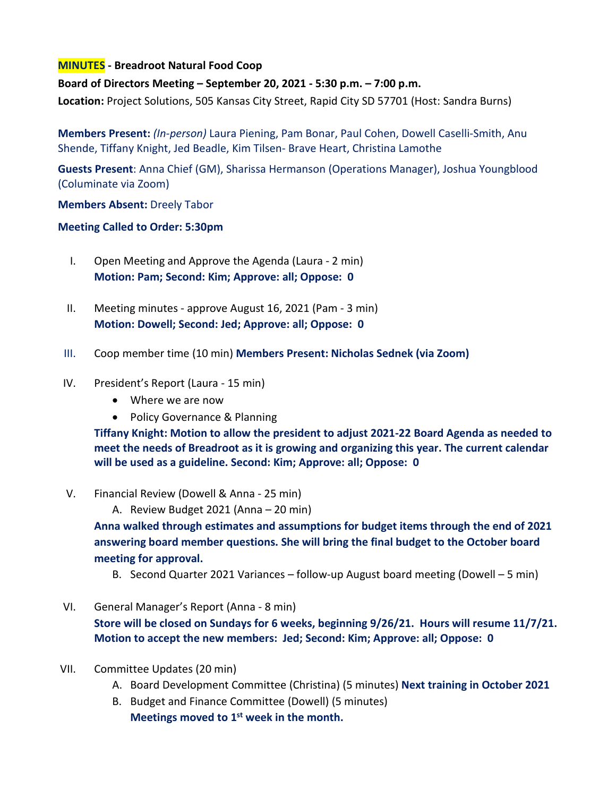## **MINUTES - Breadroot Natural Food Coop**

## **Board of Directors Meeting – September 20, 2021 - 5:30 p.m. – 7:00 p.m.**

**Location:** Project Solutions, 505 Kansas City Street, Rapid City SD 57701 (Host: Sandra Burns)

**Members Present:** *(In-person)* Laura Piening, Pam Bonar, Paul Cohen, Dowell Caselli-Smith, Anu Shende, Tiffany Knight, Jed Beadle, Kim Tilsen- Brave Heart, Christina Lamothe

**Guests Present**: Anna Chief (GM), Sharissa Hermanson (Operations Manager), Joshua Youngblood (Columinate via Zoom)

**Members Absent:** Dreely Tabor

## **Meeting Called to Order: 5:30pm**

- I. Open Meeting and Approve the Agenda (Laura 2 min) **Motion: Pam; Second: Kim; Approve: all; Oppose: 0**
- II. Meeting minutes approve August 16, 2021 (Pam 3 min) **Motion: Dowell; Second: Jed; Approve: all; Oppose: 0**
- III. Coop member time (10 min) **Members Present: Nicholas Sednek (via Zoom)**
- IV. President's Report (Laura 15 min)
	- Where we are now
	- Policy Governance & Planning

**Tiffany Knight: Motion to allow the president to adjust 2021-22 Board Agenda as needed to meet the needs of Breadroot as it is growing and organizing this year. The current calendar will be used as a guideline. Second: Kim; Approve: all; Oppose: 0**

- V. Financial Review (Dowell & Anna 25 min)
	- A. Review Budget 2021 (Anna 20 min)

**Anna walked through estimates and assumptions for budget items through the end of 2021 answering board member questions. She will bring the final budget to the October board meeting for approval.**

- B. Second Quarter 2021 Variances follow-up August board meeting (Dowell 5 min)
- VI. General Manager's Report (Anna 8 min)

**Store will be closed on Sundays for 6 weeks, beginning 9/26/21. Hours will resume 11/7/21. Motion to accept the new members: Jed; Second: Kim; Approve: all; Oppose: 0** 

- VII. Committee Updates (20 min)
	- A. Board Development Committee (Christina) (5 minutes) **Next training in October 2021**
	- B. Budget and Finance Committee (Dowell) (5 minutes) **Meetings moved to 1st week in the month.**